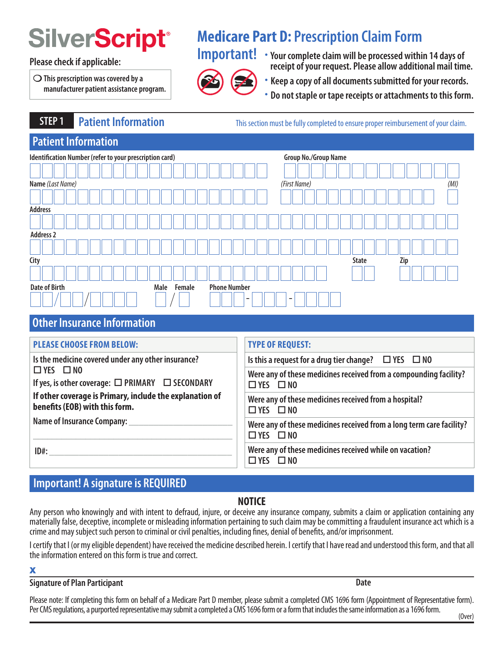$\bigcirc$  This prescription was covered by a **and the set of the set of the set of the set of the set of the set of the set of the set of the set of the set of the set of the set of the set of the set of the set of the set of** 

# **Medicare Part D: Prescription Claim Form**



**IMPLE CRIPLE Medicare Part D: Prescription Claim Form<br>
Please check if applicable: Please check if applicable: Please check if applicable: Please allow additional mail time.** 

- 
- **manufacturer patient assistance program. Do not staple or tape receipts or attachments to this form.**

**STEP 1** Patient Information **This section must be fully completed to ensure proper reimbursement of your claim.** 

# **Patient Information**

| Identification Number (refer to your prescription card) |                                       | Group No./Group Name     |      |
|---------------------------------------------------------|---------------------------------------|--------------------------|------|
|                                                         |                                       |                          |      |
| Name (Last Name)                                        |                                       | (First Name)             | (MI) |
|                                                         |                                       |                          |      |
| <b>Address</b>                                          |                                       |                          |      |
|                                                         |                                       |                          |      |
| <b>Address 2</b>                                        |                                       |                          |      |
|                                                         |                                       |                          |      |
| City                                                    |                                       | <b>State</b>             | Zip  |
|                                                         |                                       |                          |      |
| <b>Date of Birth</b>                                    | <b>Phone Number</b><br>Male<br>Female |                          |      |
|                                                         | $\overline{\phantom{a}}$              | $\overline{\phantom{a}}$ |      |

# **Other Insurance Information**

| <b>PLEASE CHOOSE FROM BELOW:</b>                                                           | <b>TYPE OF REQUEST:</b>                                                                                                                                                       |  |
|--------------------------------------------------------------------------------------------|-------------------------------------------------------------------------------------------------------------------------------------------------------------------------------|--|
| Is the medicine covered under any other insurance?                                         | Is this a request for a drug tier change? $\square$ YES $\square$ NO                                                                                                          |  |
| $\Box$ YES $\Box$ NO<br>If yes, is other coverage: $\square$ PRIMARY $\square$ SECONDARY   | Were any of these medicines received from a compounding facility?<br>$\Box$ YES $\Box$ NO                                                                                     |  |
| If other coverage is Primary, include the explanation of<br>benefits (EOB) with this form. | Were any of these medicines received from a hospital?<br>$\Box$ YES $\Box$ NO<br>Were any of these medicines received from a long term care facility?<br>$\Box$ YES $\Box$ NO |  |
| Name of Insurance Company: ______________                                                  |                                                                                                                                                                               |  |
| $ID#$ :                                                                                    | Were any of these medicines received while on vacation?<br>$\Box$ YES $\Box$ NO                                                                                               |  |

# **Important! A signature is REQUIRED**

# **NOTICE**

Any person who knowingly and with intent to defraud, injure, or deceive any insurance company, submits a claim or application containing any materially false, deceptive, incomplete or misleading information pertaining to such claim may be committing a fraudulent insurance act which is a crime and may subject such person to criminal or civil penalties, including fnes, denial of benefts, and/or imprisonment.

I certify that I (or my eligible dependent) have received the medicine described herein. I certify that I have read and understood this form, and that all the information entered on this form is true and correct.

### X

## **Signature of Plan Participant Date Accord Plan Participant Date Accord Plan Participant Date**

Please note: If completing this form on behalf of a Medicare Part D member, please submit a completed CMS 1696 form (Appointment of Representative form). Per CMS regulations, a purported representative may submit a completed a CMS 1696 form or a form that includes the same information as a 1696 form.<br>(Over)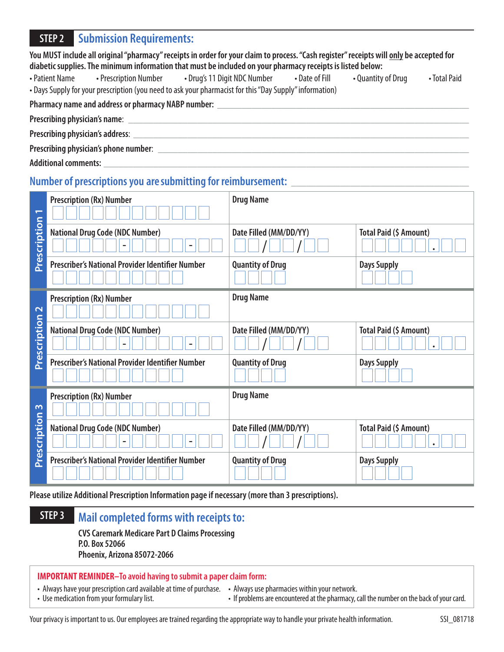# **STEP 2 Submission Requirements:**

| You MUST include all original "pharmacy" receipts in order for your claim to process. "Cash register" receipts will <u>only</u> be accepted for |
|-------------------------------------------------------------------------------------------------------------------------------------------------|
| diabetic supplies. The minimum information that must be included on your pharmacy receipts is listed below:                                     |

• Patient Name • Prescription Number • Drug's 11 Digit NDC Number • Date of Fill • Quantity of Drug • Total Paid • Days Supply for your prescription (you need to ask your pharmacist for this "Day Supply" information)

Pharmacy name and address or pharmacy NABP number: \_\_\_\_\_\_\_\_\_\_\_\_\_\_\_\_\_\_\_\_\_\_\_\_\_\_\_\_\_

| Prescribing physician's name: |  |
|-------------------------------|--|
|                               |  |

**Prescribing physician's address:** 

**Prescribing physician's phone number**: \_\_\_\_\_\_\_\_\_\_\_\_\_\_\_\_\_\_\_\_\_\_\_\_\_\_\_\_\_\_\_\_\_\_\_\_\_\_\_\_\_\_\_\_\_\_\_\_\_\_\_\_\_\_\_\_\_\_\_\_\_\_\_

**Additional comments:** \_\_\_\_\_\_\_\_\_\_\_\_\_\_\_\_\_\_\_\_\_\_\_\_\_\_\_\_\_\_\_\_\_\_\_\_\_\_\_\_\_\_\_\_\_\_\_\_\_\_\_\_\_\_\_\_\_\_\_\_\_\_\_\_\_\_\_\_\_\_\_\_\_\_

# Number of prescriptions you are submitting for reimbursement: **with all another container and the set of the set o**

| $\sqrt{2}$        | <b>Prescription (Rx) Number</b>                  | <b>Drug Name</b>        |                        |
|-------------------|--------------------------------------------------|-------------------------|------------------------|
| Prescription      | <b>National Drug Code (NDC Number)</b>           | Date Filled (MM/DD/YY)  | Total Paid (\$ Amount) |
|                   | Prescriber's National Provider Identifier Number | <b>Quantity of Drug</b> | <b>Days Supply</b>     |
| $\mathbf{\Omega}$ | <b>Prescription (Rx) Number</b>                  | <b>Drug Name</b>        |                        |
| Prescription      | <b>National Drug Code (NDC Number)</b>           | Date Filled (MM/DD/YY)  | Total Paid (\$ Amount) |
|                   | Prescriber's National Provider Identifier Number | <b>Quantity of Drug</b> | <b>Days Supply</b>     |
| $\sim$            | <b>Prescription (Rx) Number</b>                  | <b>Drug Name</b>        |                        |
| Prescription      | <b>National Drug Code (NDC Number)</b>           | Date Filled (MM/DD/YY)  | Total Paid (\$ Amount) |
|                   | Prescriber's National Provider Identifier Number | <b>Quantity of Drug</b> | <b>Days Supply</b>     |

**Please utilize Additional Prescription Information page if necessary (more than 3 prescriptions).** 

# **STEP 3 Mail completed forms with receipts to:**

**CVS Caremark Medicare Part D Claims Processing P.O. Box 52066 Phoenix, Arizona 85072-2066** 

### **IMPORTANT REMINDER–To avoid having to submit a paper claim form:**

• Always have your prescription card available at time of purchase. • Always use pharmacies within your network.<br>• Use medication from your formulary list. <br>• If problems are encountered at the pharmacy, our

• If problems are encountered at the pharmacy, call the number on the back of your card.